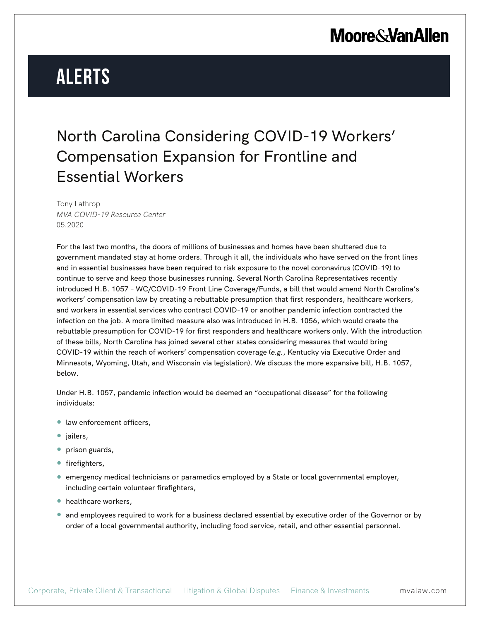## **Moore & Van Allen**

# **Alerts**

#### North Carolina Considering COVID-19 Workers' Compensation Expansion for Frontline and Essential Workers

Tony Lathrop *MVA COVID-19 Resource Center* 05.2020

For the last two months, the doors of millions of businesses and homes have been shuttered due to government mandated stay at home orders. Through it all, the individuals who have served on the front lines and in essential businesses have been required to risk exposure to the novel coronavirus (COVID-19) to continue to serve and keep those businesses running. Several North Carolina Representatives recently introduced H.B. 1057 – WC/COVID-19 Front Line Coverage/Funds, a bill that would amend North Carolina's workers' compensation law by creating a rebuttable presumption that first responders, healthcare workers, and workers in essential services who contract COVID-19 or another pandemic infection contracted the infection on the job. A more limited measure also was introduced in H.B. 1056, which would create the rebuttable presumption for COVID-19 for first responders and healthcare workers only. With the introduction of these bills, North Carolina has joined several other states considering measures that would bring COVID-19 within the reach of workers' compensation coverage (*e.g.*, Kentucky via Executive Order and Minnesota, Wyoming, Utah, and Wisconsin via legislation). We discuss the more expansive bill, H.B. 1057, below.

Under H.B. 1057, pandemic infection would be deemed an "occupational disease" for the following individuals:

- law enforcement officers,
- jailers,
- prison guards,
- firefighters,
- emergency medical technicians or paramedics employed by a State or local governmental employer, including certain volunteer firefighters,
- healthcare workers,
- and employees required to work for a business declared essential by executive order of the Governor or by order of a local governmental authority, including food service, retail, and other essential personnel.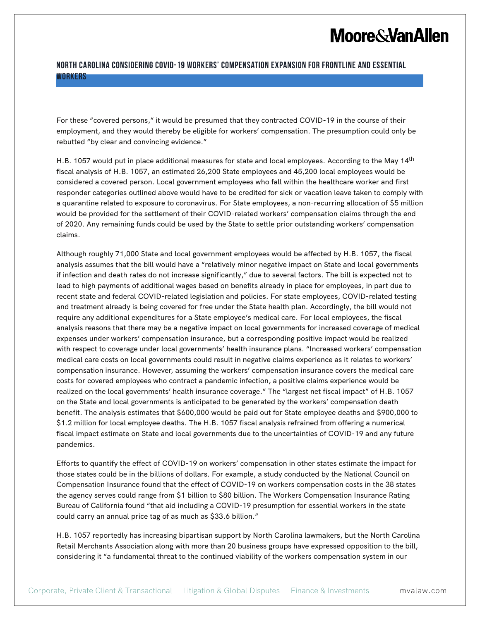## **Moore & Van Allen**

#### **North Carolina Considering COVID-19 Workers' Compensation Expansion for Frontline and Essential Workers**

For these "covered persons," it would be presumed that they contracted COVID-19 in the course of their employment, and they would thereby be eligible for workers' compensation. The presumption could only be rebutted "by clear and convincing evidence."

H.B. 1057 would put in place additional measures for state and local employees. According to the May 14<sup>th</sup> fiscal analysis of H.B. 1057, an estimated 26,200 State employees and 45,200 local employees would be considered a covered person. Local government employees who fall within the healthcare worker and first responder categories outlined above would have to be credited for sick or vacation leave taken to comply with a quarantine related to exposure to coronavirus. For State employees, a non-recurring allocation of \$5 million would be provided for the settlement of their COVID-related workers' compensation claims through the end of 2020. Any remaining funds could be used by the State to settle prior outstanding workers' compensation claims.

Although roughly 71,000 State and local government employees would be affected by H.B. 1057, the fiscal analysis assumes that the bill would have a "relatively minor negative impact on State and local governments if infection and death rates do not increase significantly," due to several factors. The bill is expected not to lead to high payments of additional wages based on benefits already in place for employees, in part due to recent state and federal COVID-related legislation and policies. For state employees, COVID-related testing and treatment already is being covered for free under the State health plan. Accordingly, the bill would not require any additional expenditures for a State employee's medical care. For local employees, the fiscal analysis reasons that there may be a negative impact on local governments for increased coverage of medical expenses under workers' compensation insurance, but a corresponding positive impact would be realized with respect to coverage under local governments' health insurance plans. "Increased workers' compensation medical care costs on local governments could result in negative claims experience as it relates to workers' compensation insurance. However, assuming the workers' compensation insurance covers the medical care costs for covered employees who contract a pandemic infection, a positive claims experience would be realized on the local governments' health insurance coverage." The "largest net fiscal impact" of H.B. 1057 on the State and local governments is anticipated to be generated by the workers' compensation death benefit. The analysis estimates that \$600,000 would be paid out for State employee deaths and \$900,000 to \$1.2 million for local employee deaths. The H.B. 1057 fiscal analysis refrained from offering a numerical fiscal impact estimate on State and local governments due to the uncertainties of COVID-19 and any future pandemics.

Efforts to quantify the effect of COVID-19 on workers' compensation in other states estimate the impact for those states could be in the billions of dollars. For example, a study conducted by the National Council on Compensation Insurance found that the effect of COVID-19 on workers compensation costs in the 38 states the agency serves could range from \$1 billion to \$80 billion. The Workers Compensation Insurance Rating Bureau of California found "that aid including a COVID-19 presumption for essential workers in the state could carry an annual price tag of as much as \$33.6 billion."

H.B. 1057 reportedly has increasing bipartisan support by North Carolina lawmakers, but the North Carolina Retail Merchants Association along with more than 20 business groups have expressed opposition to the bill, considering it "a fundamental threat to the continued viability of the workers compensation system in our